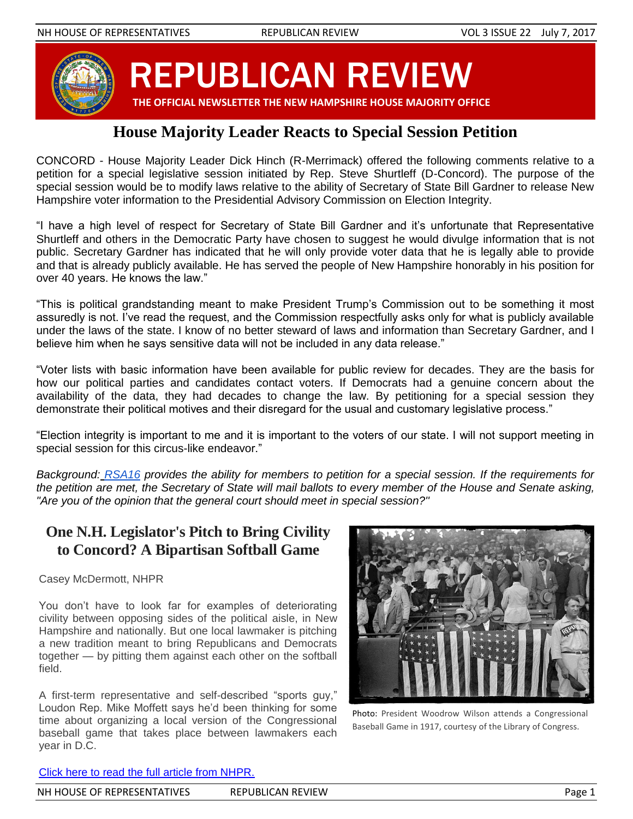

REPUBLICAN REVIEW

 **THE OFFICIAL NEWSLETTER THE NEW HAMPSHIRE HOUSE MAJORITY OFFICE**

# **House Majority Leader Reacts to Special Session Petition**

CONCORD - House Majority Leader Dick Hinch (R-Merrimack) offered the following comments relative to a petition for a special legislative session initiated by Rep. Steve Shurtleff (D-Concord). The purpose of the special session would be to modify laws relative to the ability of Secretary of State Bill Gardner to release New Hampshire voter information to the Presidential Advisory Commission on Election Integrity.

"I have a high level of respect for Secretary of State Bill Gardner and it's unfortunate that Representative Shurtleff and others in the Democratic Party have chosen to suggest he would divulge information that is not public. Secretary Gardner has indicated that he will only provide voter data that he is legally able to provide and that is already publicly available. He has served the people of New Hampshire honorably in his position for over 40 years. He knows the law."

"This is political grandstanding meant to make President Trump's Commission out to be something it most assuredly is not. I've read the request, and the Commission respectfully asks only for what is publicly available under the laws of the state. I know of no better steward of laws and information than Secretary Gardner, and I believe him when he says sensitive data will not be included in any data release."

"Voter lists with basic information have been available for public review for decades. They are the basis for how our political parties and candidates contact voters. If Democrats had a genuine concern about the availability of the data, they had decades to change the law. By petitioning for a special session they demonstrate their political motives and their disregard for the usual and customary legislative process."

"Election integrity is important to me and it is important to the voters of our state. I will not support meeting in special session for this circus-like endeavor."

*Background: [RSA16](http://www.gencourt.state.nh.us/rsa/html/I/16/16-mrg.htm) provides the ability for members to petition for a special session. If the requirements for the petition are met, the Secretary of State will mail ballots to every member of the House and Senate asking, "Are you of the opinion that the general court should meet in special session?''*

## **One N.H. Legislator's Pitch to Bring Civility to Concord? A Bipartisan Softball Game**

Casey McDermott, NHPR

You don't have to look far for examples of deteriorating civility between opposing sides of the political aisle, in New Hampshire and nationally. But one local lawmaker is pitching a new tradition meant to bring Republicans and Democrats together — by pitting them against each other on the softball field.

A first-term representative and self-described "sports guy," Loudon Rep. Mike Moffett says he'd been thinking for some time about organizing a local version of the Congressional baseball game that takes place between lawmakers each year in D.C.



Photo: President Woodrow Wilson attends a Congressional Baseball Game in 1917, courtesy of the Library of Congress.

#### [Click here to read the full article from NHPR.](http://nhpr.org/post/one-nh-legislators-pitch-bring-civility-concord-bipartisan-softball-game)